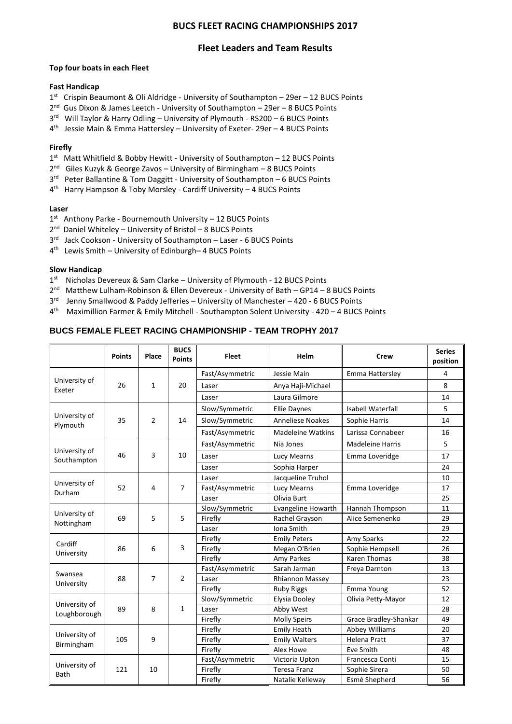# **BUCS FLEET RACING CHAMPIONSHIPS 2017**

# **Fleet Leaders and Team Results**

#### **Top four boats in each Fleet**

## **Fast Handicap**

- 1<sup>st</sup> Crispin Beaumont & Oli Aldridge University of Southampton 29er 12 BUCS Points
- 2<sup>nd</sup> Gus Dixon & James Leetch University of Southampton 29er 8 BUCS Points
- 3<sup>rd</sup> Will Taylor & Harry Odling University of Plymouth RS200 6 BUCS Points
- 4<sup>th</sup> Jessie Main & Emma Hattersley University of Exeter- 29er 4 BUCS Points

## **Firefly**

- 1<sup>st</sup> Matt Whitfield & Bobby Hewitt University of Southampton 12 BUCS Points
- 2<sup>nd</sup> Giles Kuzyk & George Zavos University of Birmingham 8 BUCS Points
- 3<sup>rd</sup> Peter Ballantine & Tom Daggitt University of Southampton 6 BUCS Points
- 4 th Harry Hampson & Toby Morsley Cardiff University 4 BUCS Points

## **Laser**

- 1<sup>st</sup> Anthony Parke Bournemouth University 12 BUCS Points
- 2<sup>nd</sup> Daniel Whiteley University of Bristol 8 BUCS Points
- 3<sup>rd</sup> Jack Cookson University of Southampton Laser 6 BUCS Points
- 4 th Lewis Smith University of Edinburgh– 4 BUCS Points

## **Slow Handicap**

- 1<sup>st</sup> Nicholas Devereux & Sam Clarke University of Plymouth 12 BUCS Points
- 2<sup>nd</sup> Matthew Lulham-Robinson & Ellen Devereux University of Bath GP14 8 BUCS Points
- 3<sup>rd</sup> Jenny Smallwood & Paddy Jefferies University of Manchester 420 6 BUCS Points
- 4 th Maximillion Farmer & Emily Mitchell Southampton Solent University 420 4 BUCS Points

## **BUCS FEMALE FLEET RACING CHAMPIONSHIP - TEAM TROPHY 2017**

|                               | <b>Points</b> | Place          | <b>BUCS</b><br><b>Points</b> | <b>Fleet</b>    | Helm                      | <b>Crew</b>              | <b>Series</b><br>position |
|-------------------------------|---------------|----------------|------------------------------|-----------------|---------------------------|--------------------------|---------------------------|
| University of<br>Exeter       | 26            | $\mathbf{1}$   | 20                           | Fast/Asymmetric | Jessie Main               | Emma Hattersley          | 4                         |
|                               |               |                |                              | Laser           | Anya Haji-Michael         |                          | 8                         |
|                               |               |                |                              | Laser           | Laura Gilmore             |                          | 14                        |
| University of<br>Plymouth     | 35            | $\overline{2}$ | 14                           | Slow/Symmetric  | <b>Ellie Daynes</b>       | <b>Isabell Waterfall</b> | 5                         |
|                               |               |                |                              | Slow/Symmetric  | <b>Anneliese Noakes</b>   | Sophie Harris            | 14                        |
|                               |               |                |                              | Fast/Asymmetric | <b>Madeleine Watkins</b>  | Larissa Connabeer        | 16                        |
| University of<br>Southampton  | 46            | 3              | 10                           | Fast/Asymmetric | Nia Jones                 | <b>Madeleine Harris</b>  | 5                         |
|                               |               |                |                              | Laser           | Lucy Mearns               | Emma Loveridge           | 17                        |
|                               |               |                |                              | Laser           | Sophia Harper             |                          | 24                        |
| University of<br>Durham       | 52            | 4              | $\overline{7}$               | Laser           | Jacqueline Truhol         |                          | 10                        |
|                               |               |                |                              | Fast/Asymmetric | Lucy Mearns               | Emma Loveridge           | 17                        |
|                               |               |                |                              | Laser           | Olivia Burt               |                          | 25                        |
| University of<br>Nottingham   | 69            | 5              | 5                            | Slow/Symmetric  | <b>Evangeline Howarth</b> | Hannah Thompson          | 11                        |
|                               |               |                |                              | Firefly         | Rachel Grayson            | Alice Semenenko          | 29                        |
|                               |               |                |                              | Laser           | Iona Smith                |                          | 29                        |
| Cardiff<br>University         | 86            | 6              | $\overline{3}$               | Firefly         | <b>Emily Peters</b>       | Amy Sparks               | 22                        |
|                               |               |                |                              | Firefly         | Megan O'Brien             | Sophie Hempsell          | 26                        |
|                               |               |                |                              | Firefly         | Amy Parkes                | Karen Thomas             | 38                        |
| Swansea<br>University         | 88            | $\overline{7}$ | $\overline{2}$               | Fast/Asymmetric | Sarah Jarman              | Freya Darnton            | 13                        |
|                               |               |                |                              | Laser           | <b>Rhiannon Massey</b>    |                          | 23                        |
|                               |               |                |                              | Firefly         | <b>Ruby Riggs</b>         | Emma Young               | 52                        |
| University of<br>Loughborough | 89            | 8              | $\mathbf{1}$                 | Slow/Symmetric  | Elysia Dooley             | Olivia Petty-Mayor       | 12                        |
|                               |               |                |                              | Laser           | Abby West                 |                          | 28                        |
|                               |               |                |                              | Firefly         | <b>Molly Speirs</b>       | Grace Bradley-Shankar    | 49                        |
| University of<br>Birmingham   | 105           | 9              |                              | Firefly         | <b>Emily Heath</b>        | <b>Abbey Williams</b>    | 20                        |
|                               |               |                |                              | Firefly         | <b>Emily Walters</b>      | <b>Helena Pratt</b>      | 37                        |
|                               |               |                |                              | Firefly         | Alex Howe                 | Eve Smith                | 48                        |
| University of<br>Bath         | 121           | 10             |                              | Fast/Asymmetric | Victoria Upton            | Francesca Conti          | 15                        |
|                               |               |                |                              | Firefly         | <b>Teresa Franz</b>       | Sophie Sirera            | 50                        |
|                               |               |                |                              | Firefly         | Natalie Kelleway          | Esmé Shepherd            | 56                        |